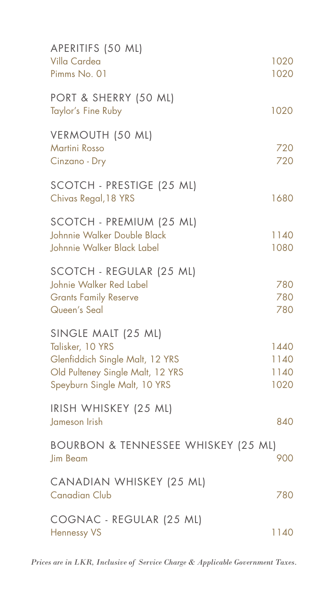| APERITIFS (50 ML)<br>Villa Cardea<br>Pimms No. 01                                                                                              | 1020<br>1020                 |
|------------------------------------------------------------------------------------------------------------------------------------------------|------------------------------|
|                                                                                                                                                |                              |
| PORT & SHERRY (50 ML)<br>Taylor's Fine Ruby                                                                                                    | 1020                         |
| VERMOUTH (50 ML)<br><b>Martini Rosso</b><br>Cinzano - Dry                                                                                      | 720<br>720                   |
| SCOTCH - PRESTIGE (25 ML)<br>Chivas Regal, 18 YRS                                                                                              | 1680                         |
| SCOTCH - PREMIUM (25 ML)<br>Johnnie Walker Double Black<br>Johnnie Walker Black Label                                                          | 1140<br>1080                 |
| SCOTCH - REGULAR (25 ML)<br>Johnie Walker Red Label<br><b>Grants Family Reserve</b><br>Queen's Seal                                            | 780<br>780<br>780            |
| SINGLE MALT (25 ML)<br>Talisker, 10 YRS<br>Glenfiddich Single Malt, 12 YRS<br>Old Pulteney Single Malt, 12 YRS<br>Speyburn Single Malt, 10 YRS | 1440<br>1140<br>1140<br>1020 |
| IRISH WHISKEY (25 ML)<br>Jameson Irish                                                                                                         | 840                          |
| BOURBON & TENNESSEE WHISKEY (25 ML)<br><b>Jim Beam</b>                                                                                         | 900                          |
| CANADIAN WHISKEY (25 ML)<br><b>Canadian Club</b>                                                                                               | 780                          |
| COGNAC - REGULAR (25 ML)<br><b>Hennessy VS</b>                                                                                                 | 1140                         |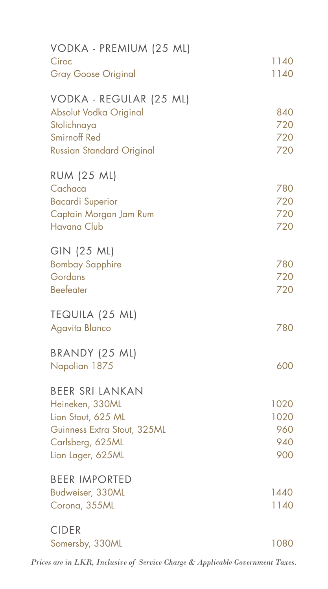| VODKA - PREMIUM (25 ML)          |      |
|----------------------------------|------|
| Ciroc                            | 1140 |
| <b>Gray Goose Original</b>       | 1140 |
| VODKA - REGULAR (25 ML)          |      |
| Absolut Vodka Original           | 840  |
| Stolichnaya                      | 720  |
| <b>Smirnoff Red</b>              | 720  |
| <b>Russian Standard Original</b> | 720  |
| <b>RUM (25 ML)</b>               |      |
| Cachaca                          | 780  |
| <b>Bacardi Superior</b>          | 720  |
| Captain Morgan Jam Rum           | 720  |
| <b>Havana Club</b>               | 720  |
| GIN (25 ML)                      |      |
| <b>Bombay Sapphire</b>           | 780  |
| Gordons                          | 720  |
| <b>Beefeater</b>                 | 720  |
| TEQUILA (25 ML)                  |      |
| Agavita Blanco                   | 780  |
| BRANDY (25 ML)                   |      |
| Napolian 1875                    | 600  |
| <b>BEER SRI LANKAN</b>           |      |
| Heineken, 330ML                  | 1020 |
| Lion Stout, 625 ML               | 1020 |
| Guinness Extra Stout, 325ML      | 960  |
| Carlsberg, 625ML                 | 940  |
| Lion Lager, 625ML                | 900  |
| <b>BEER IMPORTED</b>             |      |
| Budweiser, 330ML                 | 1440 |
| Corona, 355ML                    | 1140 |
| <b>CIDER</b>                     |      |
| Somersby, 330ML                  | 1080 |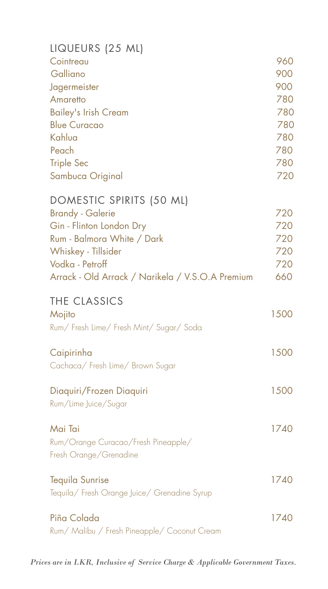| LIQUEURS (25 ML)                                 |      |
|--------------------------------------------------|------|
| Cointreau                                        | 960  |
| Galliano                                         | 900  |
| Jagermeister                                     | 900  |
| Amaretto                                         | 780  |
| <b>Bailey's Irish Cream</b>                      | 780  |
| <b>Blue Curacao</b>                              | 780  |
| Kahlua                                           | 780  |
| Peach                                            | 780  |
| <b>Triple Sec</b>                                | 780  |
|                                                  | 720  |
| Sambuca Original                                 |      |
| DOMESTIC SPIRITS (50 ML)                         |      |
| <b>Brandy - Galerie</b>                          | 720  |
| Gin - Flinton London Dry                         | 720  |
| Rum - Balmora White / Dark                       | 720  |
| Whiskey - Tillsider                              | 720  |
| Vodka - Petroff                                  | 720  |
| Arrack - Old Arrack / Narikela / V.S.O.A Premium | 660  |
| THE CLASSICS                                     |      |
| Mojito                                           | 1500 |
| Rum/Fresh Lime/Fresh Mint/Sugar/Soda             |      |
|                                                  |      |
| Caipirinha                                       | 1500 |
| Cachaca/ Fresh Lime/ Brown Sugar                 |      |
|                                                  |      |
| Diaquiri/Frozen Diaquiri                         | 1500 |
| Rum/Lime Juice/Sugar                             |      |
| Mai Tai                                          | 1740 |
| Rum/Orange Curacao/Fresh Pineapple/              |      |
|                                                  |      |
| Fresh Orange/Grenadine                           |      |
| <b>Tequila Sunrise</b>                           | 1740 |
| Tequila/ Fresh Orange Juice/ Grenadine Syrup     |      |
|                                                  |      |
| Piña Colada                                      | 1740 |
| Rum/ Malibu / Fresh Pineapple/ Coconut Cream     |      |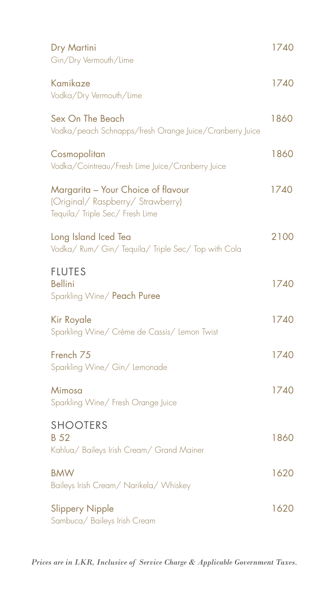| Dry Martini<br>Gin/Dry Vermouth/Lime                                                                     | 1740 |
|----------------------------------------------------------------------------------------------------------|------|
| Kamikaze<br>Vodka/Dry Vermouth/Lime                                                                      | 1740 |
| Sex On The Beach<br>Vodka/peach Schnapps/fresh Orange Juice/Cranberry Juice                              | 1860 |
| Cosmopolitan<br>Vodka/Cointreau/Fresh Lime Juice/Cranberry Juice                                         | 1860 |
| Margarita - Your Choice of flavour<br>(Original/Raspberry/Strawberry)<br>Tequila/ Triple Sec/ Fresh Lime | 1740 |
| Long Island Iced Tea<br>Vodka/ Rum/ Gin/ Tequila/ Triple Sec/ Top with Cola                              | 2100 |
| <b>FLUTES</b><br><b>Bellini</b><br>Sparkling Wine/ Peach Puree                                           | 1740 |
| Kir Royale<br>Sparkling Wine/ Crème de Cassis/ Lemon Twist                                               | 1740 |
| French <sub>75</sub><br>Sparkling Wine/ Gin/ Lemonade                                                    | 1740 |
| Mimosa<br>Sparkling Wine/ Fresh Orange Juice                                                             | 1740 |
| <b>SHOOTERS</b><br>B 52<br>Kahlua/ Baileys Irish Cream/ Grand Mainer                                     | 1860 |
| <b>BMW</b><br>Baileys Irish Cream/ Narikela/ Whiskey                                                     | 1620 |
| <b>Slippery Nipple</b><br>Sambuca/ Baileys Irish Cream                                                   | 1620 |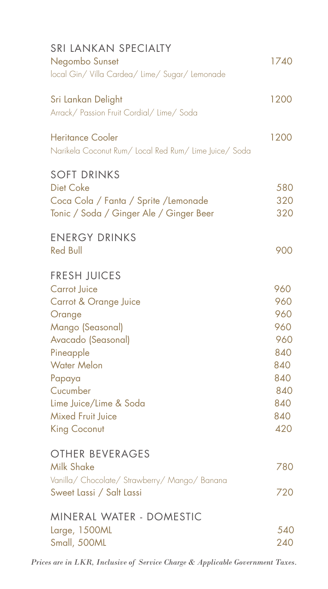| <b>SRI LANKAN SPECIALTY</b><br>Negombo Sunset<br>local Gin/Villa Cardea/Lime/Sugar/Lemonade                                                                                                                                                            | 1740                                                                             |
|--------------------------------------------------------------------------------------------------------------------------------------------------------------------------------------------------------------------------------------------------------|----------------------------------------------------------------------------------|
| Sri Lankan Delight<br>Arrack/ Passion Fruit Cordial/ Lime/ Soda                                                                                                                                                                                        | 1200                                                                             |
| <b>Heritance Cooler</b><br>Narikela Coconut Rum/ Local Red Rum/ Lime Juice/ Soda                                                                                                                                                                       | 1200                                                                             |
| <b>SOFT DRINKS</b><br><b>Diet Coke</b><br>Coca Cola / Fanta / Sprite / Lemonade<br>Tonic / Soda / Ginger Ale / Ginger Beer                                                                                                                             | 580<br>320<br>320                                                                |
| <b>ENERGY DRINKS</b><br><b>Red Bull</b>                                                                                                                                                                                                                | 900                                                                              |
| <b>FRESH JUICES</b><br><b>Carrot Juice</b><br>Carrot & Orange Juice<br>Orange<br>Mango (Seasonal)<br>Avacado (Seasonal)<br>Pineapple<br><b>Water Melon</b><br>Papaya<br>Cucumber<br>Lime Juice/Lime & Soda<br><b>Mixed Fruit Juice</b><br>King Coconut | 960<br>960<br>960<br>960<br>960<br>840<br>840<br>840<br>840<br>840<br>840<br>420 |
| OTHER BEVERAGES<br><b>Milk Shake</b><br>Vanilla/ Chocolate/ Strawberry/ Mango/ Banana<br>Sweet Lassi / Salt Lassi                                                                                                                                      | 780<br>720                                                                       |
| MINERAL WATER - DOMESTIC<br>Large, 1500ML<br>Small, 500ML                                                                                                                                                                                              | 540<br>240                                                                       |